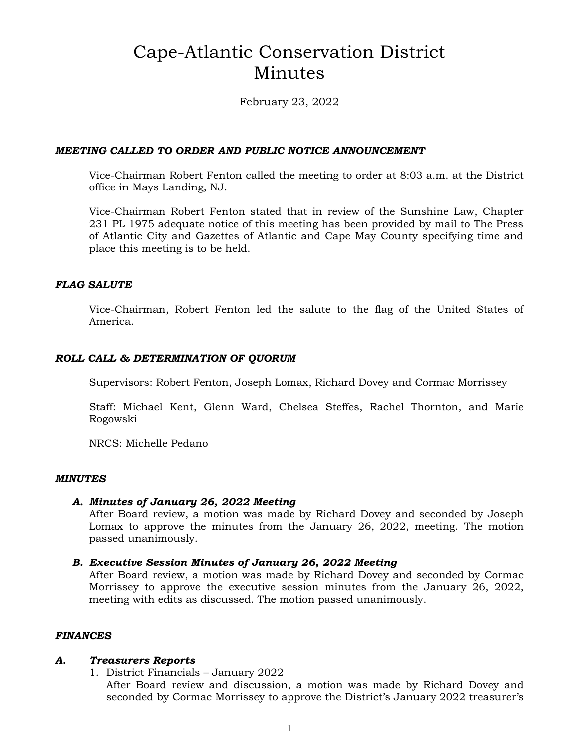# Cape-Atlantic Conservation District Minutes

February 23, 2022

### *MEETING CALLED TO ORDER AND PUBLIC NOTICE ANNOUNCEMENT*

Vice-Chairman Robert Fenton called the meeting to order at 8:03 a.m. at the District office in Mays Landing, NJ.

Vice-Chairman Robert Fenton stated that in review of the Sunshine Law, Chapter 231 PL 1975 adequate notice of this meeting has been provided by mail to The Press of Atlantic City and Gazettes of Atlantic and Cape May County specifying time and place this meeting is to be held.

### *FLAG SALUTE*

Vice-Chairman, Robert Fenton led the salute to the flag of the United States of America.

### *ROLL CALL & DETERMINATION OF QUORUM*

Supervisors: Robert Fenton, Joseph Lomax, Richard Dovey and Cormac Morrissey

Staff: Michael Kent, Glenn Ward, Chelsea Steffes, Rachel Thornton, and Marie Rogowski

NRCS: Michelle Pedano

### *MINUTES*

### *A. Minutes of January 26, 2022 Meeting*

After Board review, a motion was made by Richard Dovey and seconded by Joseph Lomax to approve the minutes from the January 26, 2022, meeting. The motion passed unanimously.

### *B. Executive Session Minutes of January 26, 2022 Meeting*

After Board review, a motion was made by Richard Dovey and seconded by Cormac Morrissey to approve the executive session minutes from the January 26, 2022, meeting with edits as discussed. The motion passed unanimously.

### *FINANCES*

### *A. Treasurers Reports*

1. District Financials – January 2022

After Board review and discussion, a motion was made by Richard Dovey and seconded by Cormac Morrissey to approve the District's January 2022 treasurer's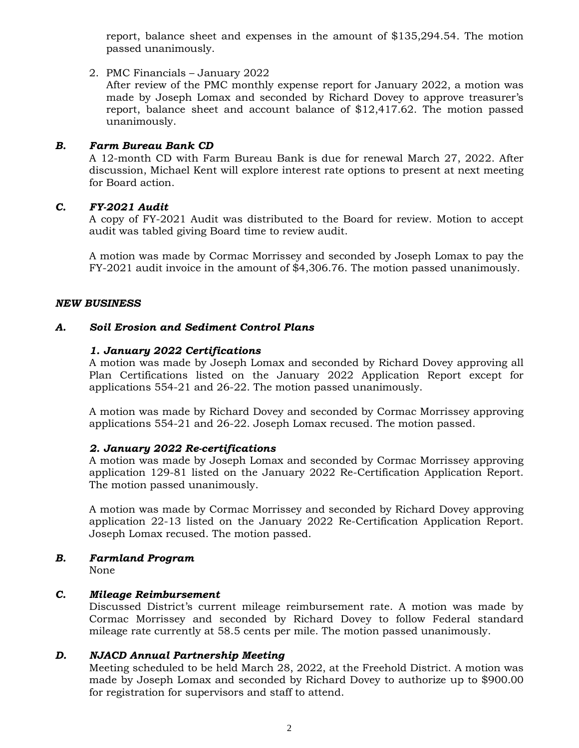report, balance sheet and expenses in the amount of \$135,294.54. The motion passed unanimously.

2. PMC Financials – January 2022

After review of the PMC monthly expense report for January 2022, a motion was made by Joseph Lomax and seconded by Richard Dovey to approve treasurer's report, balance sheet and account balance of \$12,417.62. The motion passed unanimously.

### *B. Farm Bureau Bank CD*

A 12-month CD with Farm Bureau Bank is due for renewal March 27, 2022. After discussion, Michael Kent will explore interest rate options to present at next meeting for Board action.

### *C. FY-2021 Audit*

A copy of FY-2021 Audit was distributed to the Board for review. Motion to accept audit was tabled giving Board time to review audit.

A motion was made by Cormac Morrissey and seconded by Joseph Lomax to pay the FY-2021 audit invoice in the amount of \$4,306.76. The motion passed unanimously.

### *NEW BUSINESS*

### *A. Soil Erosion and Sediment Control Plans*

### *1. January 2022 Certifications*

A motion was made by Joseph Lomax and seconded by Richard Dovey approving all Plan Certifications listed on the January 2022 Application Report except for applications 554-21 and 26-22. The motion passed unanimously.

A motion was made by Richard Dovey and seconded by Cormac Morrissey approving applications 554-21 and 26-22. Joseph Lomax recused. The motion passed.

### *2. January 2022 Re-certifications*

A motion was made by Joseph Lomax and seconded by Cormac Morrissey approving application 129-81 listed on the January 2022 Re-Certification Application Report. The motion passed unanimously.

A motion was made by Cormac Morrissey and seconded by Richard Dovey approving application 22-13 listed on the January 2022 Re-Certification Application Report. Joseph Lomax recused. The motion passed.

# *B. Farmland Program*

None

### *C. Mileage Reimbursement*

Discussed District's current mileage reimbursement rate. A motion was made by Cormac Morrissey and seconded by Richard Dovey to follow Federal standard mileage rate currently at 58.5 cents per mile. The motion passed unanimously.

### *D. NJACD Annual Partnership Meeting*

Meeting scheduled to be held March 28, 2022, at the Freehold District. A motion was made by Joseph Lomax and seconded by Richard Dovey to authorize up to \$900.00 for registration for supervisors and staff to attend.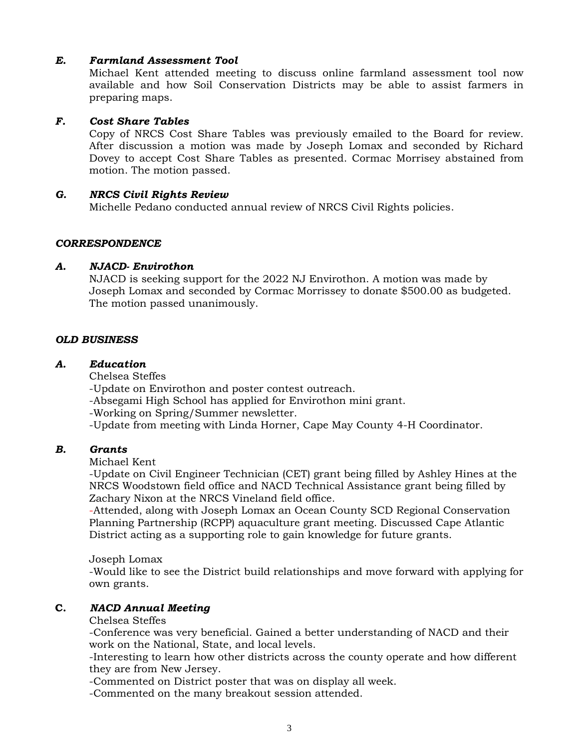### *E. Farmland Assessment Tool*

Michael Kent attended meeting to discuss online farmland assessment tool now available and how Soil Conservation Districts may be able to assist farmers in preparing maps.

### *F. Cost Share Tables*

Copy of NRCS Cost Share Tables was previously emailed to the Board for review. After discussion a motion was made by Joseph Lomax and seconded by Richard Dovey to accept Cost Share Tables as presented. Cormac Morrisey abstained from motion. The motion passed.

### *G. NRCS Civil Rights Review*

Michelle Pedano conducted annual review of NRCS Civil Rights policies.

### *CORRESPONDENCE*

### *A. NJACD- Envirothon*

NJACD is seeking support for the 2022 NJ Envirothon. A motion was made by Joseph Lomax and seconded by Cormac Morrissey to donate \$500.00 as budgeted. The motion passed unanimously.

### *OLD BUSINESS*

### *A. Education*

Chelsea Steffes

-Update on Envirothon and poster contest outreach.

-Absegami High School has applied for Envirothon mini grant.

-Working on Spring/Summer newsletter.

-Update from meeting with Linda Horner, Cape May County 4-H Coordinator.

### *B. Grants*

Michael Kent

-Update on Civil Engineer Technician (CET) grant being filled by Ashley Hines at the NRCS Woodstown field office and NACD Technical Assistance grant being filled by Zachary Nixon at the NRCS Vineland field office.

-Attended, along with Joseph Lomax an Ocean County SCD Regional Conservation Planning Partnership (RCPP) aquaculture grant meeting. Discussed Cape Atlantic District acting as a supporting role to gain knowledge for future grants.

Joseph Lomax

-Would like to see the District build relationships and move forward with applying for own grants.

### **C.** *NACD Annual Meeting*

### Chelsea Steffes

-Conference was very beneficial. Gained a better understanding of NACD and their work on the National, State, and local levels.

-Interesting to learn how other districts across the county operate and how different they are from New Jersey.

-Commented on District poster that was on display all week.

-Commented on the many breakout session attended.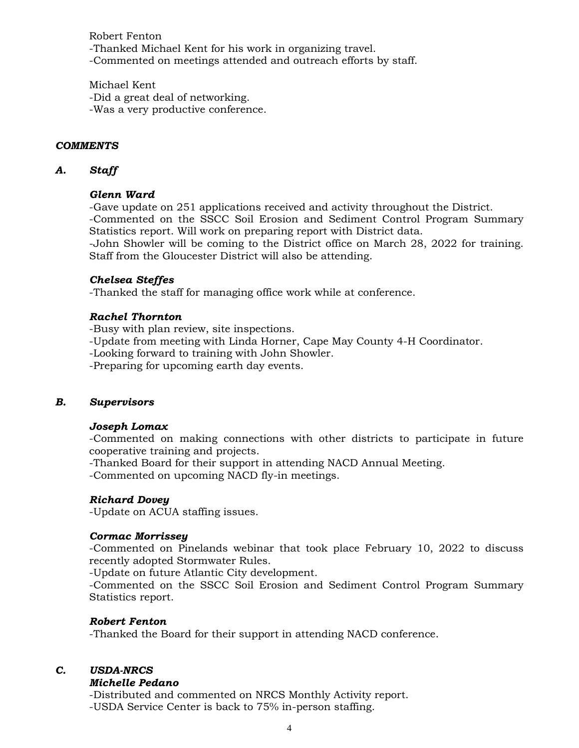Robert Fenton -Thanked Michael Kent for his work in organizing travel. -Commented on meetings attended and outreach efforts by staff.

Michael Kent -Did a great deal of networking. -Was a very productive conference.

### *COMMENTS*

### *A. Staff*

### *Glenn Ward*

-Gave update on 251 applications received and activity throughout the District. -Commented on the SSCC Soil Erosion and Sediment Control Program Summary Statistics report. Will work on preparing report with District data. -John Showler will be coming to the District office on March 28, 2022 for training. Staff from the Gloucester District will also be attending.

### *Chelsea Steffes*

-Thanked the staff for managing office work while at conference.

### *Rachel Thornton*

-Busy with plan review, site inspections.

-Update from meeting with Linda Horner, Cape May County 4-H Coordinator.

-Looking forward to training with John Showler.

-Preparing for upcoming earth day events.

### *B. Supervisors*

### *Joseph Lomax*

-Commented on making connections with other districts to participate in future cooperative training and projects.

-Thanked Board for their support in attending NACD Annual Meeting.

-Commented on upcoming NACD fly-in meetings.

### *Richard Dovey*

-Update on ACUA staffing issues.

### *Cormac Morrissey*

-Commented on Pinelands webinar that took place February 10, 2022 to discuss recently adopted Stormwater Rules.

-Update on future Atlantic City development.

-Commented on the SSCC Soil Erosion and Sediment Control Program Summary Statistics report.

### *Robert Fenton*

-Thanked the Board for their support in attending NACD conference.

### *C. USDA-NRCS*

#### *Michelle Pedano*

-Distributed and commented on NRCS Monthly Activity report.

-USDA Service Center is back to 75% in-person staffing.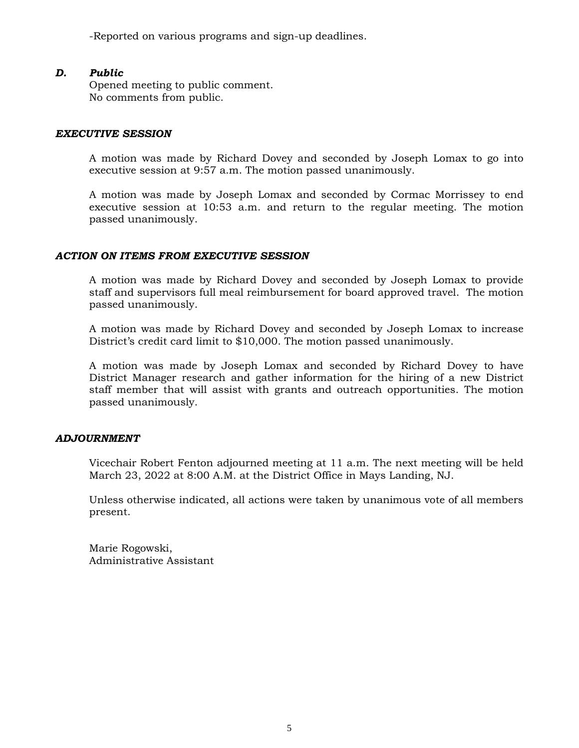-Reported on various programs and sign-up deadlines.

### *D. Public*

Opened meeting to public comment. No comments from public.

#### *EXECUTIVE SESSION*

A motion was made by Richard Dovey and seconded by Joseph Lomax to go into executive session at 9:57 a.m. The motion passed unanimously.

A motion was made by Joseph Lomax and seconded by Cormac Morrissey to end executive session at 10:53 a.m. and return to the regular meeting. The motion passed unanimously.

### *ACTION ON ITEMS FROM EXECUTIVE SESSION*

A motion was made by Richard Dovey and seconded by Joseph Lomax to provide staff and supervisors full meal reimbursement for board approved travel. The motion passed unanimously.

A motion was made by Richard Dovey and seconded by Joseph Lomax to increase District's credit card limit to \$10,000. The motion passed unanimously.

A motion was made by Joseph Lomax and seconded by Richard Dovey to have District Manager research and gather information for the hiring of a new District staff member that will assist with grants and outreach opportunities. The motion passed unanimously.

### *ADJOURNMENT*

Vicechair Robert Fenton adjourned meeting at 11 a.m. The next meeting will be held March 23, 2022 at 8:00 A.M. at the District Office in Mays Landing, NJ.

Unless otherwise indicated, all actions were taken by unanimous vote of all members present.

Marie Rogowski, Administrative Assistant